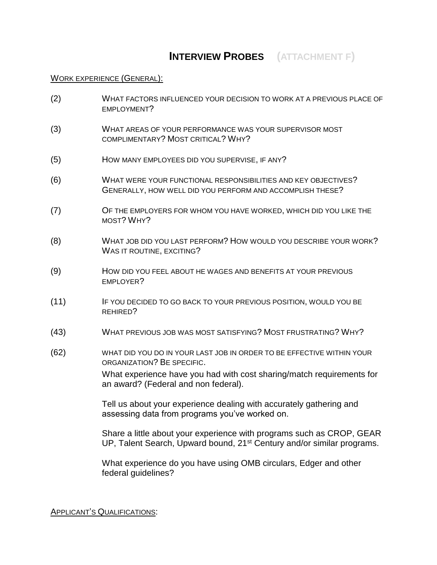# **INTERVIEW PROBES (ATTACHMENT F)**

#### WORK EXPERIENCE (GENERAL):

- (2) WHAT FACTORS INFLUENCED YOUR DECISION TO WORK AT A PREVIOUS PLACE OF EMPLOYMENT?
- (3) WHAT AREAS OF YOUR PERFORMANCE WAS YOUR SUPERVISOR MOST COMPLIMENTARY? MOST CRITICAL? WHY?
- (5) HOW MANY EMPLOYEES DID YOU SUPERVISE, IF ANY?
- (6) WHAT WERE YOUR FUNCTIONAL RESPONSIBILITIES AND KEY OBJECTIVES? GENERALLY, HOW WELL DID YOU PERFORM AND ACCOMPLISH THESE?
- (7) OF THE EMPLOYERS FOR WHOM YOU HAVE WORKED, WHICH DID YOU LIKE THE MOST? WHY?
- (8) WHAT JOB DID YOU LAST PERFORM? HOW WOULD YOU DESCRIBE YOUR WORK? WAS IT ROUTINE, EXCITING?
- (9) HOW DID YOU FEEL ABOUT HE WAGES AND BENEFITS AT YOUR PREVIOUS **EMPLOYER?**
- (11) IF YOU DECIDED TO GO BACK TO YOUR PREVIOUS POSITION, WOULD YOU BE REHIRED?
- (43) WHAT PREVIOUS JOB WAS MOST SATISFYING? MOST FRUSTRATING? WHY?
- (62) WHAT DID YOU DO IN YOUR LAST JOB IN ORDER TO BE EFFECTIVE WITHIN YOUR ORGANIZATION? BE SPECIFIC.

What experience have you had with cost sharing/match requirements for an award? (Federal and non federal).

Tell us about your experience dealing with accurately gathering and assessing data from programs you've worked on.

Share a little about your experience with programs such as CROP, GEAR UP, Talent Search, Upward bound, 21<sup>st</sup> Century and/or similar programs.

What experience do you have using OMB circulars, Edger and other federal guidelines?

#### APPLICANT'S QUALIFICATIONS: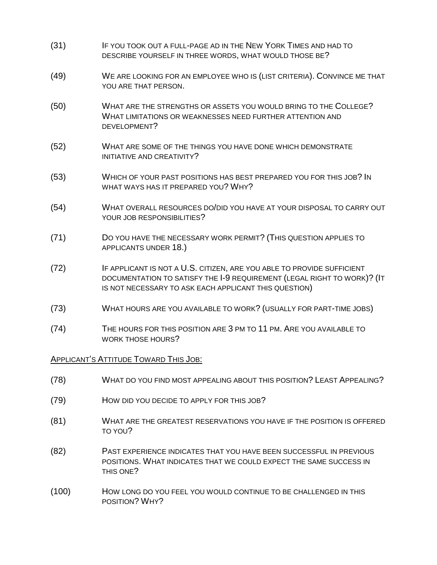- (31) IF YOU TOOK OUT A FULL-PAGE AD IN THE NEW YORK TIMES AND HAD TO DESCRIBE YOURSELF IN THREE WORDS, WHAT WOULD THOSE BE?
- (49) WE ARE LOOKING FOR AN EMPLOYEE WHO IS (LIST CRITERIA). CONVINCE ME THAT YOU ARE THAT PERSON.
- (50) WHAT ARE THE STRENGTHS OR ASSETS YOU WOULD BRING TO THE COLLEGE? WHAT LIMITATIONS OR WEAKNESSES NEED FURTHER ATTENTION AND DEVELOPMENT?
- (52) WHAT ARE SOME OF THE THINGS YOU HAVE DONE WHICH DEMONSTRATE INITIATIVE AND CREATIVITY?
- (53) WHICH OF YOUR PAST POSITIONS HAS BEST PREPARED YOU FOR THIS JOB? IN WHAT WAYS HAS IT PREPARED YOU? WHY?
- (54) WHAT OVERALL RESOURCES DO/DID YOU HAVE AT YOUR DISPOSAL TO CARRY OUT YOUR JOB RESPONSIBILITIES?
- (71) DO YOU HAVE THE NECESSARY WORK PERMIT? (THIS QUESTION APPLIES TO APPLICANTS UNDER 18.)
- (72) IF APPLICANT IS NOT A U.S. CITIZEN, ARE YOU ABLE TO PROVIDE SUFFICIENT DOCUMENTATION TO SATISFY THE I-9 REQUIREMENT (LEGAL RIGHT TO WORK)? (IT IS NOT NECESSARY TO ASK EACH APPLICANT THIS QUESTION)
- (73) WHAT HOURS ARE YOU AVAILABLE TO WORK? (USUALLY FOR PART-TIME JOBS)
- (74) THE HOURS FOR THIS POSITION ARE 3 PM TO 11 PM. ARE YOU AVAILABLE TO WORK THOSE HOURS?

#### APPLICANT'S ATTITUDE TOWARD THIS JOB:

- (78) WHAT DO YOU FIND MOST APPEALING ABOUT THIS POSITION? LEAST APPEALING?
- (79) HOW DID YOU DECIDE TO APPLY FOR THIS JOB?
- (81) WHAT ARE THE GREATEST RESERVATIONS YOU HAVE IF THE POSITION IS OFFERED TO YOU?
- (82) PAST EXPERIENCE INDICATES THAT YOU HAVE BEEN SUCCESSFUL IN PREVIOUS POSITIONS. WHAT INDICATES THAT WE COULD EXPECT THE SAME SUCCESS IN THIS ONE?
- (100) HOW LONG DO YOU FEEL YOU WOULD CONTINUE TO BE CHALLENGED IN THIS POSITION? WHY?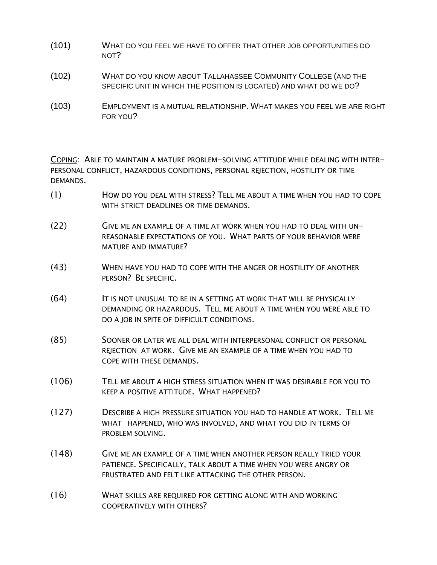- (101) WHAT DO YOU FEEL WE HAVE TO OFFER THAT OTHER JOB OPPORTUNITIES DO NOT?
- (102) WHAT DO YOU KNOW ABOUT TALLAHASSEE COMMUNITY COLLEGE (AND THE SPECIFIC UNIT IN WHICH THE POSITION IS LOCATED) AND WHAT DO WE DO?
- (103) EMPLOYMENT IS A MUTUAL RELATIONSHIP. WHAT MAKES YOU FEEL WE ARE RIGHT FOR YOU?

COPING: ABLE TO MAINTAIN A MATURE PROBLEM-SOLVING ATTITUDE WHILE DEALING WITH INTER-PERSONAL CONFLICT, HAZARDOUS CONDITIONS, PERSONAL REJECTION, HOSTILITY OR TIME DEMANDS.

- (1) HOW DO YOU DEAL WITH STRESS? TELL ME ABOUT A TIME WHEN YOU HAD TO COPE WITH STRICT DEADLINES OR TIME DEMANDS.
- (22) GIVE ME AN EXAMPLE OF A TIME AT WORK WHEN YOU HAD TO DEAL WITH UN-REASONABLE EXPECTATIONS OF YOU. WHAT PARTS OF YOUR BEHAVIOR WERE MATURE AND IMMATURE?
- (43) WHEN HAVE YOU HAD TO COPE WITH THE ANGER OR HOSTILITY OF ANOTHER PERSON? BE SPECIFIC.
- (64) IT IS NOT UNUSUAL TO BE IN A SETTING AT WORK THAT WILL BE PHYSICALLY DEMANDING OR HAZARDOUS. TELL ME ABOUT A TIME WHEN YOU WERE ABLE TO DO A JOB IN SPITE OF DIFFICULT CONDITIONS.
- (85) SOONER OR LATER WE ALL DEAL WITH INTERPERSONAL CONFLICT OR PERSONAL REJECTION AT WORK. GIVE ME AN EXAMPLE OF A TIME WHEN YOU HAD TO COPE WITH THESE DEMANDS.
- (106) TELL ME ABOUT A HIGH STRESS SITUATION WHEN IT WAS DESIRABLE FOR YOU TO KEEP A POSITIVE ATTITUDE. WHAT HAPPENED?
- (127) DESCRIBE A HIGH PRESSURE SITUATION YOU HAD TO HANDLE AT WORK. TELL ME WHAT HAPPENED, WHO WAS INVOLVED, AND WHAT YOU DID IN TERMS OF PROBLEM SOLVING.
- (148) GIVE ME AN EXAMPLE OF A TIME WHEN ANOTHER PERSON REALLY TRIED YOUR PATIENCE. SPECIFICALLY, TALK ABOUT A TIME WHEN YOU WERE ANGRY OR FRUSTRATED AND FELT LIKE ATTACKING THE OTHER PERSON.
- (16) WHAT SKILLS ARE REQUIRED FOR GETTING ALONG WITH AND WORKING COOPERATIVELY WITH OTHERS?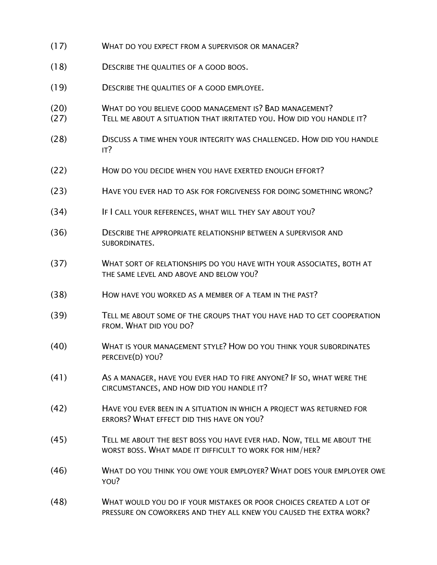- (17) WHAT DO YOU EXPECT FROM A SUPERVISOR OR MANAGER?
- (18) DESCRIBE THE QUALITIES OF A GOOD BOOS.
- (19) DESCRIBE THE QUALITIES OF A GOOD EMPLOYEE.
- (20) WHAT DO YOU BELIEVE GOOD MANAGEMENT IS? BAD MANAGEMENT?
- (27) TELL ME ABOUT A SITUATION THAT IRRITATED YOU. HOW DID YOU HANDLE IT?
- (28) DISCUSS A TIME WHEN YOUR INTEGRITY WAS CHALLENGED. HOW DID YOU HANDLE IT?
- (22) HOW DO YOU DECIDE WHEN YOU HAVE EXERTED ENOUGH EFFORT?
- (23) HAVE YOU EVER HAD TO ASK FOR FORGIVENESS FOR DOING SOMETHING WRONG?
- (34) IF I CALL YOUR REFERENCES, WHAT WILL THEY SAY ABOUT YOU?
- (36) DESCRIBE THE APPROPRIATE RELATIONSHIP BETWEEN A SUPERVISOR AND SUBORDINATES.
- (37) WHAT SORT OF RELATIONSHIPS DO YOU HAVE WITH YOUR ASSOCIATES, BOTH AT THE SAME LEVEL AND ABOVE AND BELOW YOU?
- (38) HOW HAVE YOU WORKED AS A MEMBER OF A TEAM IN THE PAST?
- (39) TELL ME ABOUT SOME OF THE GROUPS THAT YOU HAVE HAD TO GET COOPERATION FROM. WHAT DID YOU DO?
- (40) WHAT IS YOUR MANAGEMENT STYLE? HOW DO YOU THINK YOUR SUBORDINATES PERCEIVE(D) YOU?
- (41) AS A MANAGER, HAVE YOU EVER HAD TO FIRE ANYONE? IF SO, WHAT WERE THE CIRCUMSTANCES, AND HOW DID YOU HANDLE IT?
- (42) HAVE YOU EVER BEEN IN A SITUATION IN WHICH A PROJECT WAS RETURNED FOR ERRORS? WHAT EFFECT DID THIS HAVE ON YOU?
- (45) TELL ME ABOUT THE BEST BOSS YOU HAVE EVER HAD. NOW, TELL ME ABOUT THE WORST BOSS. WHAT MADE IT DIFFICULT TO WORK FOR HIM/HER?
- (46) WHAT DO YOU THINK YOU OWE YOUR EMPLOYER? WHAT DOES YOUR EMPLOYER OWE YOU?
- (48) WHAT WOULD YOU DO IF YOUR MISTAKES OR POOR CHOICES CREATED A LOT OF PRESSURE ON COWORKERS AND THEY ALL KNEW YOU CAUSED THE EXTRA WORK?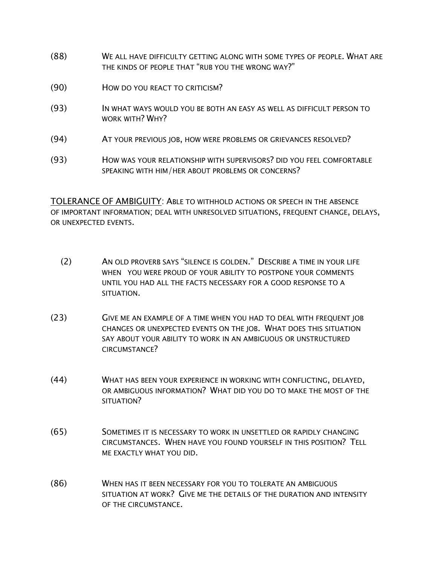- (88) WE ALL HAVE DIFFICULTY GETTING ALONG WITH SOME TYPES OF PEOPLE. WHAT ARE THE KINDS OF PEOPLE THAT "RUB YOU THE WRONG WAY?"
- (90) HOW DO YOU REACT TO CRITICISM?
- (93) IN WHAT WAYS WOULD YOU BE BOTH AN EASY AS WELL AS DIFFICULT PERSON TO WORK WITH? WHY?
- (94) AT YOUR PREVIOUS JOB, HOW WERE PROBLEMS OR GRIEVANCES RESOLVED?
- (93) HOW WAS YOUR RELATIONSHIP WITH SUPERVISORS? DID YOU FEEL COMFORTABLE SPEAKING WITH HIM/HER ABOUT PROBLEMS OR CONCERNS?

TOLERANCE OF AMBIGUITY: ABLE TO WITHHOLD ACTIONS OR SPEECH IN THE ABSENCE OF IMPORTANT INFORMATION; DEAL WITH UNRESOLVED SITUATIONS, FREQUENT CHANGE, DELAYS, OR UNEXPECTED EVENTS.

- (2) AN OLD PROVERB SAYS "SILENCE IS GOLDEN." DESCRIBE A TIME IN YOUR LIFE WHEN YOU WERE PROUD OF YOUR ABILITY TO POSTPONE YOUR COMMENTS UNTIL YOU HAD ALL THE FACTS NECESSARY FOR A GOOD RESPONSE TO A SITUATION.
- (23) GIVE ME AN EXAMPLE OF A TIME WHEN YOU HAD TO DEAL WITH FREQUENT JOB CHANGES OR UNEXPECTED EVENTS ON THE JOB. WHAT DOES THIS SITUATION SAY ABOUT YOUR ABILITY TO WORK IN AN AMBIGUOUS OR UNSTRUCTURED CIRCUMSTANCE?
- (44) WHAT HAS BEEN YOUR EXPERIENCE IN WORKING WITH CONFLICTING, DELAYED, OR AMBIGUOUS INFORMATION? WHAT DID YOU DO TO MAKE THE MOST OF THE SITUATION?
- (65) SOMETIMES IT IS NECESSARY TO WORK IN UNSETTLED OR RAPIDLY CHANGING CIRCUMSTANCES. WHEN HAVE YOU FOUND YOURSELF IN THIS POSITION? TELL ME EXACTLY WHAT YOU DID.
- (86) WHEN HAS IT BEEN NECESSARY FOR YOU TO TOLERATE AN AMBIGUOUS SITUATION AT WORK? GIVE ME THE DETAILS OF THE DURATION AND INTENSITY OF THE CIRCUMSTANCE.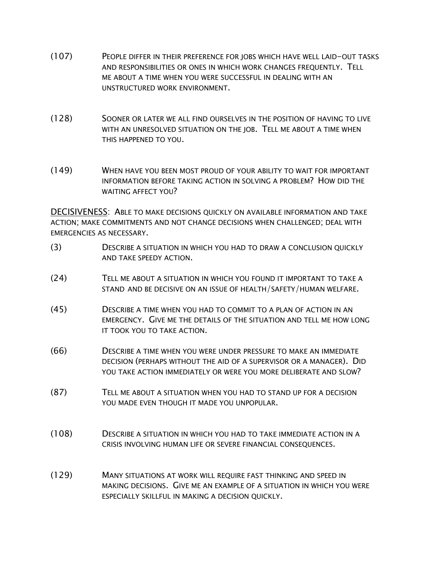- (107) PEOPLE DIFFER IN THEIR PREFERENCE FOR JOBS WHICH HAVE WELL LAID-OUT TASKS AND RESPONSIBILITIES OR ONES IN WHICH WORK CHANGES FREQUENTLY. TELL ME ABOUT A TIME WHEN YOU WERE SUCCESSFUL IN DEALING WITH AN UNSTRUCTURED WORK ENVIRONMENT.
- (128) SOONER OR LATER WE ALL FIND OURSELVES IN THE POSITION OF HAVING TO LIVE WITH AN UNRESOLVED SITUATION ON THE JOB. TELL ME ABOUT A TIME WHEN THIS HAPPENED TO YOU.
- (149) WHEN HAVE YOU BEEN MOST PROUD OF YOUR ABILITY TO WAIT FOR IMPORTANT INFORMATION BEFORE TAKING ACTION IN SOLVING A PROBLEM? HOW DID THE WAITING AFFECT YOU?

DECISIVENESS: ABLE TO MAKE DECISIONS QUICKLY ON AVAILABLE INFORMATION AND TAKE ACTION; MAKE COMMITMENTS AND NOT CHANGE DECISIONS WHEN CHALLENGED; DEAL WITH EMERGENCIES AS NECESSARY.

- (3) DESCRIBE A SITUATION IN WHICH YOU HAD TO DRAW A CONCLUSION QUICKLY AND TAKE SPEEDY ACTION.
- (24) TELL ME ABOUT A SITUATION IN WHICH YOU FOUND IT IMPORTANT TO TAKE A STAND AND BE DECISIVE ON AN ISSUE OF HEALTH/SAFETY/HUMAN WELFARE.
- (45) DESCRIBE A TIME WHEN YOU HAD TO COMMIT TO A PLAN OF ACTION IN AN EMERGENCY. GIVE ME THE DETAILS OF THE SITUATION AND TELL ME HOW LONG IT TOOK YOU TO TAKE ACTION.
- (66) DESCRIBE A TIME WHEN YOU WERE UNDER PRESSURE TO MAKE AN IMMEDIATE DECISION (PERHAPS WITHOUT THE AID OF A SUPERVISOR OR A MANAGER). DID YOU TAKE ACTION IMMEDIATELY OR WERE YOU MORE DELIBERATE AND SLOW?
- (87) TELL ME ABOUT A SITUATION WHEN YOU HAD TO STAND UP FOR A DECISION YOU MADE EVEN THOUGH IT MADE YOU UNPOPULAR.
- (108) DESCRIBE A SITUATION IN WHICH YOU HAD TO TAKE IMMEDIATE ACTION IN A CRISIS INVOLVING HUMAN LIFE OR SEVERE FINANCIAL CONSEQUENCES.
- (129) MANY SITUATIONS AT WORK WILL REQUIRE FAST THINKING AND SPEED IN MAKING DECISIONS. GIVE ME AN EXAMPLE OF A SITUATION IN WHICH YOU WERE ESPECIALLY SKILLFUL IN MAKING A DECISION QUICKLY.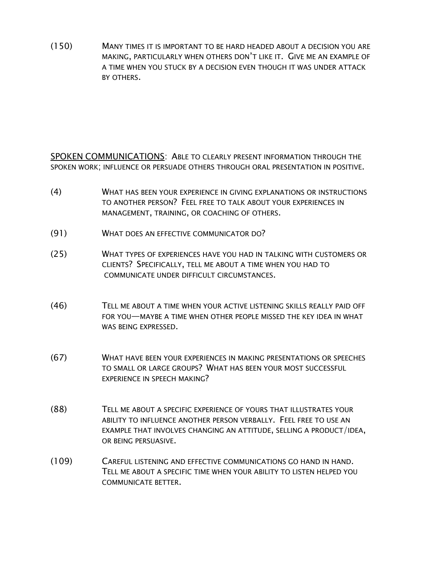(150) MANY TIMES IT IS IMPORTANT TO BE HARD HEADED ABOUT A DECISION YOU ARE MAKING, PARTICULARLY WHEN OTHERS DON'T LIKE IT. GIVE ME AN EXAMPLE OF A TIME WHEN YOU STUCK BY A DECISION EVEN THOUGH IT WAS UNDER ATTACK BY OTHERS.

SPOKEN COMMUNICATIONS: ABLE TO CLEARLY PRESENT INFORMATION THROUGH THE SPOKEN WORK; INFLUENCE OR PERSUADE OTHERS THROUGH ORAL PRESENTATION IN POSITIVE.

- (4) WHAT HAS BEEN YOUR EXPERIENCE IN GIVING EXPLANATIONS OR INSTRUCTIONS TO ANOTHER PERSON? FEEL FREE TO TALK ABOUT YOUR EXPERIENCES IN MANAGEMENT, TRAINING, OR COACHING OF OTHERS.
- (91) WHAT DOES AN EFFECTIVE COMMUNICATOR DO?
- (25) WHAT TYPES OF EXPERIENCES HAVE YOU HAD IN TALKING WITH CUSTOMERS OR CLIENTS? SPECIFICALLY, TELL ME ABOUT A TIME WHEN YOU HAD TO COMMUNICATE UNDER DIFFICULT CIRCUMSTANCES.
- (46) TELL ME ABOUT A TIME WHEN YOUR ACTIVE LISTENING SKILLS REALLY PAID OFF FOR YOU—MAYBE A TIME WHEN OTHER PEOPLE MISSED THE KEY IDEA IN WHAT WAS BEING EXPRESSED.
- (67) WHAT HAVE BEEN YOUR EXPERIENCES IN MAKING PRESENTATIONS OR SPEECHES TO SMALL OR LARGE GROUPS? WHAT HAS BEEN YOUR MOST SUCCESSFUL EXPERIENCE IN SPEECH MAKING?
- (88) TELL ME ABOUT A SPECIFIC EXPERIENCE OF YOURS THAT ILLUSTRATES YOUR ABILITY TO INFLUENCE ANOTHER PERSON VERBALLY. FEEL FREE TO USE AN EXAMPLE THAT INVOLVES CHANGING AN ATTITUDE, SELLING A PRODUCT/IDEA, OR BEING PERSUASIVE.
- (109) CAREFUL LISTENING AND EFFECTIVE COMMUNICATIONS GO HAND IN HAND. TELL ME ABOUT A SPECIFIC TIME WHEN YOUR ABILITY TO LISTEN HELPED YOU COMMUNICATE BETTER.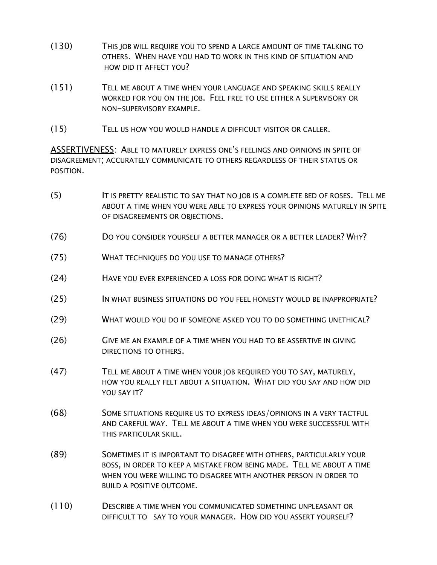- (130) THIS JOB WILL REQUIRE YOU TO SPEND A LARGE AMOUNT OF TIME TALKING TO OTHERS. WHEN HAVE YOU HAD TO WORK IN THIS KIND OF SITUATION AND HOW DID IT AFFECT YOU?
- (151) TELL ME ABOUT A TIME WHEN YOUR LANGUAGE AND SPEAKING SKILLS REALLY WORKED FOR YOU ON THE JOB. FEEL FREE TO USE EITHER A SUPERVISORY OR NON-SUPERVISORY EXAMPLE.
- (15) TELL US HOW YOU WOULD HANDLE A DIFFICULT VISITOR OR CALLER.

ASSERTIVENESS: ABLE TO MATURELY EXPRESS ONE'S FEELINGS AND OPINIONS IN SPITE OF DISAGREEMENT; ACCURATELY COMMUNICATE TO OTHERS REGARDLESS OF THEIR STATUS OR POSITION.

- (5) IT IS PRETTY REALISTIC TO SAY THAT NO JOB IS A COMPLETE BED OF ROSES. TELL ME ABOUT A TIME WHEN YOU WERE ABLE TO EXPRESS YOUR OPINIONS MATURELY IN SPITE OF DISAGREEMENTS OR OBJECTIONS.
- (76) DO YOU CONSIDER YOURSELF A BETTER MANAGER OR A BETTER LEADER? WHY?
- (75) WHAT TECHNIQUES DO YOU USE TO MANAGE OTHERS?
- (24) HAVE YOU EVER EXPERIENCED A LOSS FOR DOING WHAT IS RIGHT?
- (25) IN WHAT BUSINESS SITUATIONS DO YOU FEEL HONESTY WOULD BE INAPPROPRIATE?
- (29) WHAT WOULD YOU DO IF SOMEONE ASKED YOU TO DO SOMETHING UNETHICAL?
- (26) GIVE ME AN EXAMPLE OF A TIME WHEN YOU HAD TO BE ASSERTIVE IN GIVING DIRECTIONS TO OTHERS.
- (47) TELL ME ABOUT A TIME WHEN YOUR JOB REQUIRED YOU TO SAY, MATURELY, HOW YOU REALLY FELT ABOUT A SITUATION. WHAT DID YOU SAY AND HOW DID YOU SAY IT?
- (68) SOME SITUATIONS REQUIRE US TO EXPRESS IDEAS/OPINIONS IN A VERY TACTFUL AND CAREFUL WAY. TELL ME ABOUT A TIME WHEN YOU WERE SUCCESSFUL WITH THIS PARTICULAR SKILL.
- (89) SOMETIMES IT IS IMPORTANT TO DISAGREE WITH OTHERS, PARTICULARLY YOUR BOSS, IN ORDER TO KEEP A MISTAKE FROM BEING MADE. TELL ME ABOUT A TIME WHEN YOU WERE WILLING TO DISAGREE WITH ANOTHER PERSON IN ORDER TO BUILD A POSITIVE OUTCOME.
- (110) DESCRIBE A TIME WHEN YOU COMMUNICATED SOMETHING UNPLEASANT OR DIFFICULT TO SAY TO YOUR MANAGER. HOW DID YOU ASSERT YOURSELF?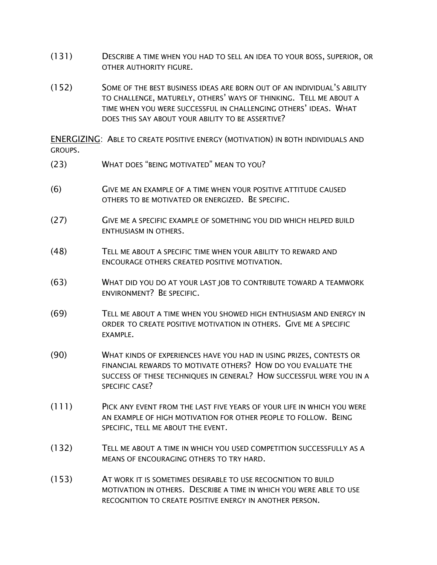- (131) DESCRIBE A TIME WHEN YOU HAD TO SELL AN IDEA TO YOUR BOSS, SUPERIOR, OR OTHER AUTHORITY FIGURE.
- (152) SOME OF THE BEST BUSINESS IDEAS ARE BORN OUT OF AN INDIVIDUAL'S ABILITY TO CHALLENGE, MATURELY, OTHERS' WAYS OF THINKING. TELL ME ABOUT A TIME WHEN YOU WERE SUCCESSFUL IN CHALLENGING OTHERS' IDEAS. WHAT DOES THIS SAY ABOUT YOUR ABILITY TO BE ASSERTIVE?

ENERGIZING: ABLE TO CREATE POSITIVE ENERGY (MOTIVATION) IN BOTH INDIVIDUALS AND GROUPS.

- (23) WHAT DOES "BEING MOTIVATED" MEAN TO YOU?
- (6) GIVE ME AN EXAMPLE OF A TIME WHEN YOUR POSITIVE ATTITUDE CAUSED OTHERS TO BE MOTIVATED OR ENERGIZED. BE SPECIFIC.
- (27) GIVE ME A SPECIFIC EXAMPLE OF SOMETHING YOU DID WHICH HELPED BUILD ENTHUSIASM IN OTHERS.
- (48) TELL ME ABOUT A SPECIFIC TIME WHEN YOUR ABILITY TO REWARD AND ENCOURAGE OTHERS CREATED POSITIVE MOTIVATION.
- (63) WHAT DID YOU DO AT YOUR LAST JOB TO CONTRIBUTE TOWARD A TEAMWORK ENVIRONMENT? BE SPECIFIC.
- (69) TELL ME ABOUT A TIME WHEN YOU SHOWED HIGH ENTHUSIASM AND ENERGY IN ORDER TO CREATE POSITIVE MOTIVATION IN OTHERS. GIVE ME A SPECIFIC EXAMPLE.
- (90) WHAT KINDS OF EXPERIENCES HAVE YOU HAD IN USING PRIZES, CONTESTS OR FINANCIAL REWARDS TO MOTIVATE OTHERS? HOW DO YOU EVALUATE THE SUCCESS OF THESE TECHNIQUES IN GENERAL? HOW SUCCESSFUL WERE YOU IN A SPECIFIC CASE?
- (111) PICK ANY EVENT FROM THE LAST FIVE YEARS OF YOUR LIFE IN WHICH YOU WERE AN EXAMPLE OF HIGH MOTIVATION FOR OTHER PEOPLE TO FOLLOW. BEING SPECIFIC, TELL ME ABOUT THE EVENT.
- (132) TELL ME ABOUT A TIME IN WHICH YOU USED COMPETITION SUCCESSFULLY AS A MEANS OF ENCOURAGING OTHERS TO TRY HARD.
- (153) AT WORK IT IS SOMETIMES DESIRABLE TO USE RECOGNITION TO BUILD MOTIVATION IN OTHERS. DESCRIBE A TIME IN WHICH YOU WERE ABLE TO USE RECOGNITION TO CREATE POSITIVE ENERGY IN ANOTHER PERSON.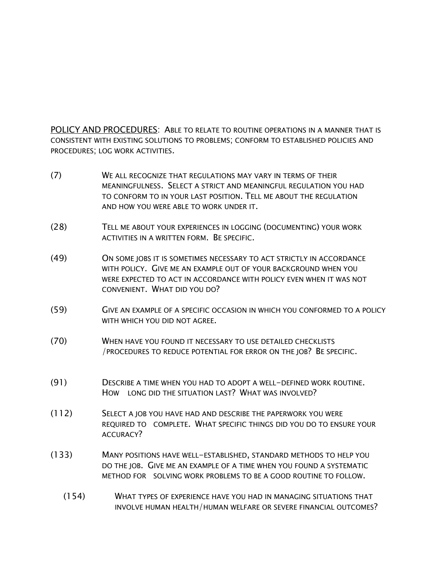POLICY AND PROCEDURES: ABLE TO RELATE TO ROUTINE OPERATIONS IN A MANNER THAT IS CONSISTENT WITH EXISTING SOLUTIONS TO PROBLEMS; CONFORM TO ESTABLISHED POLICIES AND PROCEDURES; LOG WORK ACTIVITIES.

- (7) WE ALL RECOGNIZE THAT REGULATIONS MAY VARY IN TERMS OF THEIR MEANINGFULNESS. SELECT A STRICT AND MEANINGFUL REGULATION YOU HAD TO CONFORM TO IN YOUR LAST POSITION. TELL ME ABOUT THE REGULATION AND HOW YOU WERE ABLE TO WORK UNDER IT.
- (28) TELL ME ABOUT YOUR EXPERIENCES IN LOGGING (DOCUMENTING) YOUR WORK ACTIVITIES IN A WRITTEN FORM. BE SPECIFIC.
- (49) ON SOME JOBS IT IS SOMETIMES NECESSARY TO ACT STRICTLY IN ACCORDANCE WITH POLICY. GIVE ME AN EXAMPLE OUT OF YOUR BACKGROUND WHEN YOU WERE EXPECTED TO ACT IN ACCORDANCE WITH POLICY EVEN WHEN IT WAS NOT CONVENIENT. WHAT DID YOU DO?
- (59) GIVE AN EXAMPLE OF A SPECIFIC OCCASION IN WHICH YOU CONFORMED TO A POLICY WITH WHICH YOU DID NOT AGREE.
- (70) WHEN HAVE YOU FOUND IT NECESSARY TO USE DETAILED CHECKLISTS /PROCEDURES TO REDUCE POTENTIAL FOR ERROR ON THE JOB? BE SPECIFIC.
- (91) DESCRIBE A TIME WHEN YOU HAD TO ADOPT A WELL-DEFINED WORK ROUTINE. HOW LONG DID THE SITUATION LAST? WHAT WAS INVOLVED?
- (112) SELECT A JOB YOU HAVE HAD AND DESCRIBE THE PAPERWORK YOU WERE REQUIRED TO COMPLETE. WHAT SPECIFIC THINGS DID YOU DO TO ENSURE YOUR ACCURACY?
- (133) MANY POSITIONS HAVE WELL-ESTABLISHED, STANDARD METHODS TO HELP YOU DO THE JOB. GIVE ME AN EXAMPLE OF A TIME WHEN YOU FOUND A SYSTEMATIC METHOD FOR SOLVING WORK PROBLEMS TO BE A GOOD ROUTINE TO FOLLOW.
	- (154) WHAT TYPES OF EXPERIENCE HAVE YOU HAD IN MANAGING SITUATIONS THAT INVOLVE HUMAN HEALTH/HUMAN WELFARE OR SEVERE FINANCIAL OUTCOMES?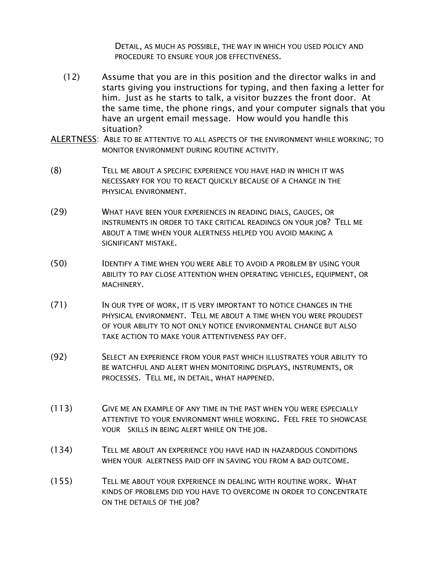DETAIL, AS MUCH AS POSSIBLE, THE WAY IN WHICH YOU USED POLICY AND PROCEDURE TO ENSURE YOUR JOB EFFECTIVENESS.

- (12) Assume that you are in this position and the director walks in and starts giving you instructions for typing, and then faxing a letter for him. Just as he starts to talk, a visitor buzzes the front door. At the same time, the phone rings, and your computer signals that you have an urgent email message. How would you handle this situation?
- ALERTNESS: ABLE TO BE ATTENTIVE TO ALL ASPECTS OF THE ENVIRONMENT WHILE WORKING; TO MONITOR ENVIRONMENT DURING ROUTINE ACTIVITY.
- (8) TELL ME ABOUT A SPECIFIC EXPERIENCE YOU HAVE HAD IN WHICH IT WAS NECESSARY FOR YOU TO REACT QUICKLY BECAUSE OF A CHANGE IN THE PHYSICAL ENVIRONMENT.
- (29) WHAT HAVE BEEN YOUR EXPERIENCES IN READING DIALS, GAUGES, OR INSTRUMENTS IN ORDER TO TAKE CRITICAL READINGS ON YOUR JOB? TELL ME ABOUT A TIME WHEN YOUR ALERTNESS HELPED YOU AVOID MAKING A SIGNIFICANT MISTAKE.
- (50) IDENTIFY A TIME WHEN YOU WERE ABLE TO AVOID A PROBLEM BY USING YOUR ABILITY TO PAY CLOSE ATTENTION WHEN OPERATING VEHICLES, EQUIPMENT, OR MACHINERY.
- (71) IN OUR TYPE OF WORK, IT IS VERY IMPORTANT TO NOTICE CHANGES IN THE PHYSICAL ENVIRONMENT. TELL ME ABOUT A TIME WHEN YOU WERE PROUDEST OF YOUR ABILITY TO NOT ONLY NOTICE ENVIRONMENTAL CHANGE BUT ALSO TAKE ACTION TO MAKE YOUR ATTENTIVENESS PAY OFF.
- (92) SELECT AN EXPERIENCE FROM YOUR PAST WHICH ILLUSTRATES YOUR ABILITY TO BE WATCHFUL AND ALERT WHEN MONITORING DISPLAYS, INSTRUMENTS, OR PROCESSES. TELL ME, IN DETAIL, WHAT HAPPENED.
- (113) GIVE ME AN EXAMPLE OF ANY TIME IN THE PAST WHEN YOU WERE ESPECIALLY ATTENTIVE TO YOUR ENVIRONMENT WHILE WORKING. FEEL FREE TO SHOWCASE YOUR SKILLS IN BEING ALERT WHILE ON THE JOB.
- (134) TELL ME ABOUT AN EXPERIENCE YOU HAVE HAD IN HAZARDOUS CONDITIONS WHEN YOUR ALERTNESS PAID OFF IN SAVING YOU FROM A BAD OUTCOME.
- (155) TELL ME ABOUT YOUR EXPERIENCE IN DEALING WITH ROUTINE WORK. WHAT KINDS OF PROBLEMS DID YOU HAVE TO OVERCOME IN ORDER TO CONCENTRATE ON THE DETAILS OF THE JOB?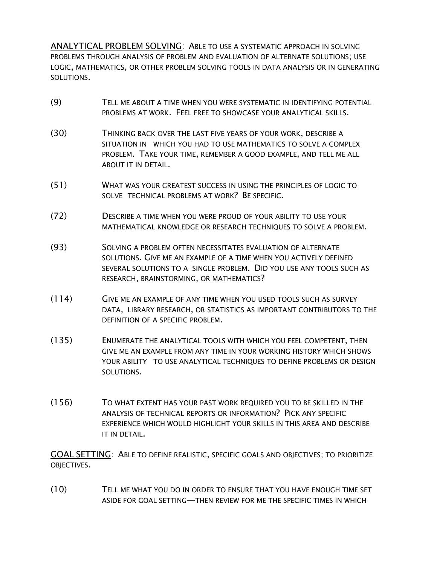ANALYTICAL PROBLEM SOLVING: ABLE TO USE A SYSTEMATIC APPROACH IN SOLVING PROBLEMS THROUGH ANALYSIS OF PROBLEM AND EVALUATION OF ALTERNATE SOLUTIONS; USE LOGIC, MATHEMATICS, OR OTHER PROBLEM SOLVING TOOLS IN DATA ANALYSIS OR IN GENERATING SOLUTIONS.

- (9) TELL ME ABOUT A TIME WHEN YOU WERE SYSTEMATIC IN IDENTIFYING POTENTIAL PROBLEMS AT WORK. FEEL FREE TO SHOWCASE YOUR ANALYTICAL SKILLS.
- (30) THINKING BACK OVER THE LAST FIVE YEARS OF YOUR WORK, DESCRIBE A SITUATION IN WHICH YOU HAD TO USE MATHEMATICS TO SOLVE A COMPLEX PROBLEM. TAKE YOUR TIME, REMEMBER A GOOD EXAMPLE, AND TELL ME ALL ABOUT IT IN DETAIL.
- (51) WHAT WAS YOUR GREATEST SUCCESS IN USING THE PRINCIPLES OF LOGIC TO SOLVE TECHNICAL PROBLEMS AT WORK? BE SPECIFIC.
- (72) DESCRIBE A TIME WHEN YOU WERE PROUD OF YOUR ABILITY TO USE YOUR MATHEMATICAL KNOWLEDGE OR RESEARCH TECHNIQUES TO SOLVE A PROBLEM.
- (93) SOLVING A PROBLEM OFTEN NECESSITATES EVALUATION OF ALTERNATE SOLUTIONS. GIVE ME AN EXAMPLE OF A TIME WHEN YOU ACTIVELY DEFINED SEVERAL SOLUTIONS TO A SINGLE PROBLEM. DID YOU USE ANY TOOLS SUCH AS RESEARCH, BRAINSTORMING, OR MATHEMATICS?
- (114) GIVE ME AN EXAMPLE OF ANY TIME WHEN YOU USED TOOLS SUCH AS SURVEY DATA, LIBRARY RESEARCH, OR STATISTICS AS IMPORTANT CONTRIBUTORS TO THE DEFINITION OF A SPECIFIC PROBLEM.
- (135) ENUMERATE THE ANALYTICAL TOOLS WITH WHICH YOU FEEL COMPETENT, THEN GIVE ME AN EXAMPLE FROM ANY TIME IN YOUR WORKING HISTORY WHICH SHOWS YOUR ABILITY TO USE ANALYTICAL TECHNIQUES TO DEFINE PROBLEMS OR DESIGN SOLUTIONS.
- (156) TO WHAT EXTENT HAS YOUR PAST WORK REQUIRED YOU TO BE SKILLED IN THE ANALYSIS OF TECHNICAL REPORTS OR INFORMATION? PICK ANY SPECIFIC EXPERIENCE WHICH WOULD HIGHLIGHT YOUR SKILLS IN THIS AREA AND DESCRIBE IT IN DETAIL.

GOAL SETTING: ABLE TO DEFINE REALISTIC, SPECIFIC GOALS AND OBJECTIVES; TO PRIORITIZE OBJECTIVES.

(10) TELL ME WHAT YOU DO IN ORDER TO ENSURE THAT YOU HAVE ENOUGH TIME SET ASIDE FOR GOAL SETTING—THEN REVIEW FOR ME THE SPECIFIC TIMES IN WHICH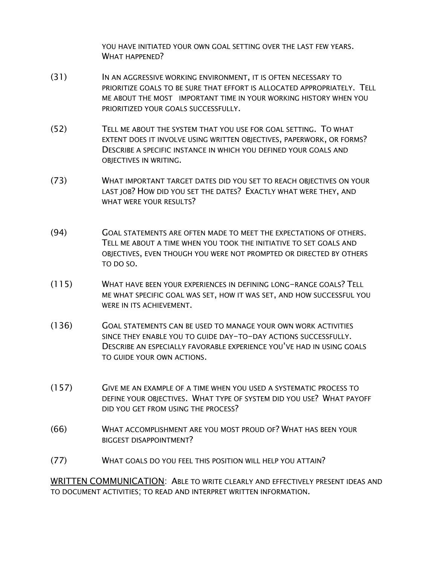YOU HAVE INITIATED YOUR OWN GOAL SETTING OVER THE LAST FEW YEARS. WHAT HAPPENED?

- (31) IN AN AGGRESSIVE WORKING ENVIRONMENT, IT IS OFTEN NECESSARY TO PRIORITIZE GOALS TO BE SURE THAT EFFORT IS ALLOCATED APPROPRIATELY. TELL ME ABOUT THE MOST IMPORTANT TIME IN YOUR WORKING HISTORY WHEN YOU PRIORITIZED YOUR GOALS SUCCESSFULLY.
- (52) TELL ME ABOUT THE SYSTEM THAT YOU USE FOR GOAL SETTING. TO WHAT EXTENT DOES IT INVOLVE USING WRITTEN OBJECTIVES, PAPERWORK, OR FORMS? DESCRIBE A SPECIFIC INSTANCE IN WHICH YOU DEFINED YOUR GOALS AND OBJECTIVES IN WRITING.
- (73) WHAT IMPORTANT TARGET DATES DID YOU SET TO REACH OBJECTIVES ON YOUR LAST JOB? HOW DID YOU SET THE DATES? EXACTLY WHAT WERE THEY, AND WHAT WERE YOUR RESULTS?
- (94) GOAL STATEMENTS ARE OFTEN MADE TO MEET THE EXPECTATIONS OF OTHERS. TELL ME ABOUT A TIME WHEN YOU TOOK THE INITIATIVE TO SET GOALS AND OBJECTIVES, EVEN THOUGH YOU WERE NOT PROMPTED OR DIRECTED BY OTHERS TO DO SO.
- (115) WHAT HAVE BEEN YOUR EXPERIENCES IN DEFINING LONG-RANGE GOALS? TELL ME WHAT SPECIFIC GOAL WAS SET, HOW IT WAS SET, AND HOW SUCCESSFUL YOU WERE IN ITS ACHIEVEMENT.
- (136) GOAL STATEMENTS CAN BE USED TO MANAGE YOUR OWN WORK ACTIVITIES SINCE THEY ENABLE YOU TO GUIDE DAY-TO-DAY ACTIONS SUCCESSFULLY. DESCRIBE AN ESPECIALLY FAVORABLE EXPERIENCE YOU'VE HAD IN USING GOALS TO GUIDE YOUR OWN ACTIONS.
- (157) GIVE ME AN EXAMPLE OF A TIME WHEN YOU USED A SYSTEMATIC PROCESS TO DEFINE YOUR OBJECTIVES. WHAT TYPE OF SYSTEM DID YOU USE? WHAT PAYOFF DID YOU GET FROM USING THE PROCESS?
- (66) WHAT ACCOMPLISHMENT ARE YOU MOST PROUD OF? WHAT HAS BEEN YOUR BIGGEST DISAPPOINTMENT?
- (77) WHAT GOALS DO YOU FEEL THIS POSITION WILL HELP YOU ATTAIN?

WRITTEN COMMUNICATION: ABLE TO WRITE CLEARLY AND EFFECTIVELY PRESENT IDEAS AND TO DOCUMENT ACTIVITIES; TO READ AND INTERPRET WRITTEN INFORMATION.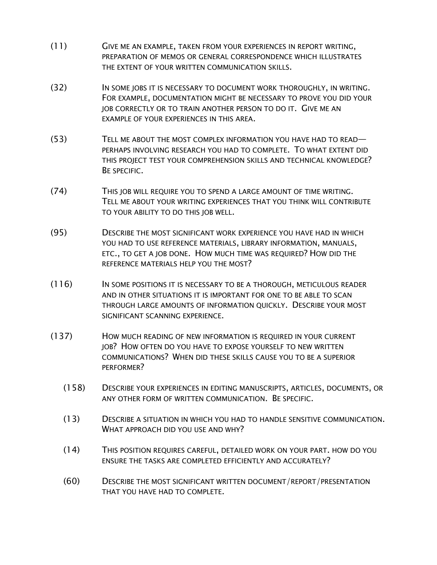- (11) GIVE ME AN EXAMPLE, TAKEN FROM YOUR EXPERIENCES IN REPORT WRITING, PREPARATION OF MEMOS OR GENERAL CORRESPONDENCE WHICH ILLUSTRATES THE EXTENT OF YOUR WRITTEN COMMUNICATION SKILLS.
- (32) IN SOME JOBS IT IS NECESSARY TO DOCUMENT WORK THOROUGHLY, IN WRITING. FOR EXAMPLE, DOCUMENTATION MIGHT BE NECESSARY TO PROVE YOU DID YOUR JOB CORRECTLY OR TO TRAIN ANOTHER PERSON TO DO IT. GIVE ME AN EXAMPLE OF YOUR EXPERIENCES IN THIS AREA.
- (53) TELL ME ABOUT THE MOST COMPLEX INFORMATION YOU HAVE HAD TO READ— PERHAPS INVOLVING RESEARCH YOU HAD TO COMPLETE. TO WHAT EXTENT DID THIS PROJECT TEST YOUR COMPREHENSION SKILLS AND TECHNICAL KNOWLEDGE? BE SPECIFIC.
- (74) THIS JOB WILL REQUIRE YOU TO SPEND A LARGE AMOUNT OF TIME WRITING. TELL ME ABOUT YOUR WRITING EXPERIENCES THAT YOU THINK WILL CONTRIBUTE TO YOUR ABILITY TO DO THIS JOB WELL.
- (95) DESCRIBE THE MOST SIGNIFICANT WORK EXPERIENCE YOU HAVE HAD IN WHICH YOU HAD TO USE REFERENCE MATERIALS, LIBRARY INFORMATION, MANUALS, ETC., TO GET A JOB DONE. HOW MUCH TIME WAS REQUIRED? HOW DID THE REFERENCE MATERIALS HELP YOU THE MOST?
- (116) IN SOME POSITIONS IT IS NECESSARY TO BE A THOROUGH, METICULOUS READER AND IN OTHER SITUATIONS IT IS IMPORTANT FOR ONE TO BE ABLE TO SCAN THROUGH LARGE AMOUNTS OF INFORMATION QUICKLY. DESCRIBE YOUR MOST SIGNIFICANT SCANNING EXPERIENCE.
- (137) HOW MUCH READING OF NEW INFORMATION IS REQUIRED IN YOUR CURRENT JOB? HOW OFTEN DO YOU HAVE TO EXPOSE YOURSELF TO NEW WRITTEN COMMUNICATIONS? WHEN DID THESE SKILLS CAUSE YOU TO BE A SUPERIOR PERFORMER?
	- (158) DESCRIBE YOUR EXPERIENCES IN EDITING MANUSCRIPTS, ARTICLES, DOCUMENTS, OR ANY OTHER FORM OF WRITTEN COMMUNICATION. BE SPECIFIC.
	- (13) DESCRIBE A SITUATION IN WHICH YOU HAD TO HANDLE SENSITIVE COMMUNICATION. WHAT APPROACH DID YOU USE AND WHY?
	- (14) THIS POSITION REQUIRES CAREFUL, DETAILED WORK ON YOUR PART. HOW DO YOU ENSURE THE TASKS ARE COMPLETED EFFICIENTLY AND ACCURATELY?
	- (60) DESCRIBE THE MOST SIGNIFICANT WRITTEN DOCUMENT/REPORT/PRESENTATION THAT YOU HAVE HAD TO COMPLETE.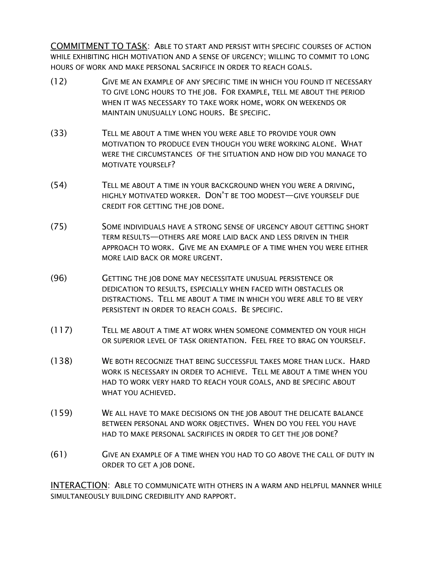COMMITMENT TO TASK: ABLE TO START AND PERSIST WITH SPECIFIC COURSES OF ACTION WHILE EXHIBITING HIGH MOTIVATION AND A SENSE OF URGENCY; WILLING TO COMMIT TO LONG HOURS OF WORK AND MAKE PERSONAL SACRIFICE IN ORDER TO REACH GOALS.

- (12) GIVE ME AN EXAMPLE OF ANY SPECIFIC TIME IN WHICH YOU FOUND IT NECESSARY TO GIVE LONG HOURS TO THE JOB. FOR EXAMPLE, TELL ME ABOUT THE PERIOD WHEN IT WAS NECESSARY TO TAKE WORK HOME, WORK ON WEEKENDS OR MAINTAIN UNUSUALLY LONG HOURS. BE SPECIFIC.
- (33) TELL ME ABOUT A TIME WHEN YOU WERE ABLE TO PROVIDE YOUR OWN MOTIVATION TO PRODUCE EVEN THOUGH YOU WERE WORKING ALONE. WHAT WERE THE CIRCUMSTANCES OF THE SITUATION AND HOW DID YOU MANAGE TO MOTIVATE YOURSELF?
- (54) TELL ME ABOUT A TIME IN YOUR BACKGROUND WHEN YOU WERE A DRIVING, HIGHLY MOTIVATED WORKER. DON'T BE TOO MODEST—GIVE YOURSELF DUE CREDIT FOR GETTING THE JOB DONE.
- (75) SOME INDIVIDUALS HAVE A STRONG SENSE OF URGENCY ABOUT GETTING SHORT TERM RESULTS—OTHERS ARE MORE LAID BACK AND LESS DRIVEN IN THEIR APPROACH TO WORK. GIVE ME AN EXAMPLE OF A TIME WHEN YOU WERE EITHER MORE LAID BACK OR MORE URGENT.
- (96) GETTING THE JOB DONE MAY NECESSITATE UNUSUAL PERSISTENCE OR DEDICATION TO RESULTS, ESPECIALLY WHEN FACED WITH OBSTACLES OR DISTRACTIONS. TELL ME ABOUT A TIME IN WHICH YOU WERE ABLE TO BE VERY PERSISTENT IN ORDER TO REACH GOALS. BE SPECIFIC.
- (117) TELL ME ABOUT A TIME AT WORK WHEN SOMEONE COMMENTED ON YOUR HIGH OR SUPERIOR LEVEL OF TASK ORIENTATION. FEEL FREE TO BRAG ON YOURSELF.
- (138) WE BOTH RECOGNIZE THAT BEING SUCCESSFUL TAKES MORE THAN LUCK. HARD WORK IS NECESSARY IN ORDER TO ACHIEVE. TELL ME ABOUT A TIME WHEN YOU HAD TO WORK VERY HARD TO REACH YOUR GOALS, AND BE SPECIFIC ABOUT WHAT YOU ACHIEVED.
- (159) WE ALL HAVE TO MAKE DECISIONS ON THE JOB ABOUT THE DELICATE BALANCE BETWEEN PERSONAL AND WORK OBJECTIVES. WHEN DO YOU FEEL YOU HAVE HAD TO MAKE PERSONAL SACRIFICES IN ORDER TO GET THE JOB DONE?
- (61) GIVE AN EXAMPLE OF A TIME WHEN YOU HAD TO GO ABOVE THE CALL OF DUTY IN ORDER TO GET A JOB DONE.

INTERACTION: ABLE TO COMMUNICATE WITH OTHERS IN A WARM AND HELPFUL MANNER WHILE SIMULTANEOUSLY BUILDING CREDIBILITY AND RAPPORT.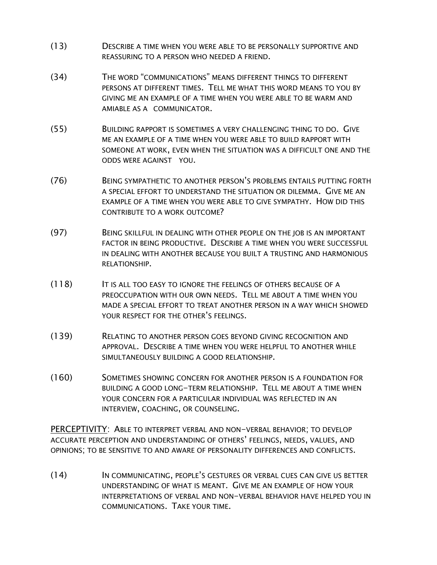- (13) DESCRIBE A TIME WHEN YOU WERE ABLE TO BE PERSONALLY SUPPORTIVE AND REASSURING TO A PERSON WHO NEEDED A FRIEND.
- (34) THE WORD "COMMUNICATIONS" MEANS DIFFERENT THINGS TO DIFFERENT PERSONS AT DIFFERENT TIMES. TELL ME WHAT THIS WORD MEANS TO YOU BY GIVING ME AN EXAMPLE OF A TIME WHEN YOU WERE ABLE TO BE WARM AND AMIABLE AS A COMMUNICATOR.
- (55) BUILDING RAPPORT IS SOMETIMES A VERY CHALLENGING THING TO DO. GIVE ME AN EXAMPLE OF A TIME WHEN YOU WERE ABLE TO BUILD RAPPORT WITH SOMEONE AT WORK, EVEN WHEN THE SITUATION WAS A DIFFICULT ONE AND THE ODDS WERE AGAINST YOU.
- (76) BEING SYMPATHETIC TO ANOTHER PERSON'S PROBLEMS ENTAILS PUTTING FORTH A SPECIAL EFFORT TO UNDERSTAND THE SITUATION OR DILEMMA. GIVE ME AN EXAMPLE OF A TIME WHEN YOU WERE ABLE TO GIVE SYMPATHY. HOW DID THIS CONTRIBUTE TO A WORK OUTCOME?
- (97) BEING SKILLFUL IN DEALING WITH OTHER PEOPLE ON THE JOB IS AN IMPORTANT FACTOR IN BEING PRODUCTIVE. DESCRIBE A TIME WHEN YOU WERE SUCCESSFUL IN DEALING WITH ANOTHER BECAUSE YOU BUILT A TRUSTING AND HARMONIOUS RELATIONSHIP.
- (118) IT IS ALL TOO EASY TO IGNORE THE FEELINGS OF OTHERS BECAUSE OF A PREOCCUPATION WITH OUR OWN NEEDS. TELL ME ABOUT A TIME WHEN YOU MADE A SPECIAL EFFORT TO TREAT ANOTHER PERSON IN A WAY WHICH SHOWED YOUR RESPECT FOR THE OTHER'S FEELINGS.
- (139) RELATING TO ANOTHER PERSON GOES BEYOND GIVING RECOGNITION AND APPROVAL. DESCRIBE A TIME WHEN YOU WERE HELPFUL TO ANOTHER WHILE SIMULTANEOUSLY BUILDING A GOOD RELATIONSHIP.
- (160) SOMETIMES SHOWING CONCERN FOR ANOTHER PERSON IS A FOUNDATION FOR BUILDING A GOOD LONG-TERM RELATIONSHIP. TELL ME ABOUT A TIME WHEN YOUR CONCERN FOR A PARTICULAR INDIVIDUAL WAS REFLECTED IN AN INTERVIEW, COACHING, OR COUNSELING.

PERCEPTIVITY: ABLE TO INTERPRET VERBAL AND NON-VERBAL BEHAVIOR; TO DEVELOP ACCURATE PERCEPTION AND UNDERSTANDING OF OTHERS' FEELINGS, NEEDS, VALUES, AND OPINIONS; TO BE SENSITIVE TO AND AWARE OF PERSONALITY DIFFERENCES AND CONFLICTS.

(14) IN COMMUNICATING, PEOPLE'S GESTURES OR VERBAL CUES CAN GIVE US BETTER UNDERSTANDING OF WHAT IS MEANT. GIVE ME AN EXAMPLE OF HOW YOUR INTERPRETATIONS OF VERBAL AND NON-VERBAL BEHAVIOR HAVE HELPED YOU IN COMMUNICATIONS. TAKE YOUR TIME.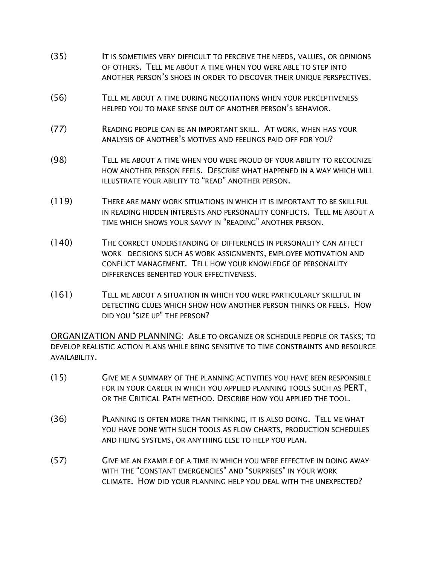- (35) IT IS SOMETIMES VERY DIFFICULT TO PERCEIVE THE NEEDS, VALUES, OR OPINIONS OF OTHERS. TELL ME ABOUT A TIME WHEN YOU WERE ABLE TO STEP INTO ANOTHER PERSON'S SHOES IN ORDER TO DISCOVER THEIR UNIQUE PERSPECTIVES.
- (56) TELL ME ABOUT A TIME DURING NEGOTIATIONS WHEN YOUR PERCEPTIVENESS HELPED YOU TO MAKE SENSE OUT OF ANOTHER PERSON'S BEHAVIOR.
- (77) READING PEOPLE CAN BE AN IMPORTANT SKILL. AT WORK, WHEN HAS YOUR ANALYSIS OF ANOTHER'S MOTIVES AND FEELINGS PAID OFF FOR YOU?
- (98) TELL ME ABOUT A TIME WHEN YOU WERE PROUD OF YOUR ABILITY TO RECOGNIZE HOW ANOTHER PERSON FEELS. DESCRIBE WHAT HAPPENED IN A WAY WHICH WILL ILLUSTRATE YOUR ABILITY TO "READ" ANOTHER PERSON.
- (119) THERE ARE MANY WORK SITUATIONS IN WHICH IT IS IMPORTANT TO BE SKILLFUL IN READING HIDDEN INTERESTS AND PERSONALITY CONFLICTS. TELL ME ABOUT A TIME WHICH SHOWS YOUR SAVVY IN "READING" ANOTHER PERSON.
- (140) THE CORRECT UNDERSTANDING OF DIFFERENCES IN PERSONALITY CAN AFFECT WORK DECISIONS SUCH AS WORK ASSIGNMENTS, EMPLOYEE MOTIVATION AND CONFLICT MANAGEMENT. TELL HOW YOUR KNOWLEDGE OF PERSONALITY DIFFERENCES BENEFITED YOUR EFFECTIVENESS.
- (161) TELL ME ABOUT A SITUATION IN WHICH YOU WERE PARTICULARLY SKILLFUL IN DETECTING CLUES WHICH SHOW HOW ANOTHER PERSON THINKS OR FEELS. HOW DID YOU "SIZE UP" THE PERSON?

ORGANIZATION AND PLANNING: ABLE TO ORGANIZE OR SCHEDULE PEOPLE OR TASKS; TO DEVELOP REALISTIC ACTION PLANS WHILE BEING SENSITIVE TO TIME CONSTRAINTS AND RESOURCE AVAILABILITY.

- (15) GIVE ME A SUMMARY OF THE PLANNING ACTIVITIES YOU HAVE BEEN RESPONSIBLE FOR IN YOUR CAREER IN WHICH YOU APPLIED PLANNING TOOLS SUCH AS PERT, OR THE CRITICAL PATH METHOD. DESCRIBE HOW YOU APPLIED THE TOOL.
- (36) PLANNING IS OFTEN MORE THAN THINKING, IT IS ALSO DOING. TELL ME WHAT YOU HAVE DONE WITH SUCH TOOLS AS FLOW CHARTS, PRODUCTION SCHEDULES AND FILING SYSTEMS, OR ANYTHING ELSE TO HELP YOU PLAN.
- (57) GIVE ME AN EXAMPLE OF A TIME IN WHICH YOU WERE EFFECTIVE IN DOING AWAY WITH THE "CONSTANT EMERGENCIES" AND "SURPRISES" IN YOUR WORK CLIMATE. HOW DID YOUR PLANNING HELP YOU DEAL WITH THE UNEXPECTED?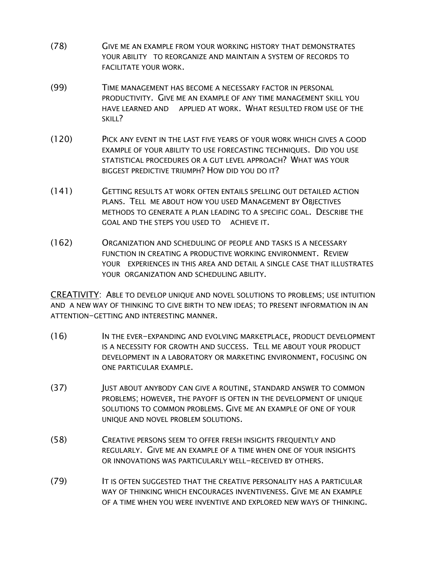- (78) GIVE ME AN EXAMPLE FROM YOUR WORKING HISTORY THAT DEMONSTRATES YOUR ABILITY TO REORGANIZE AND MAINTAIN A SYSTEM OF RECORDS TO FACILITATE YOUR WORK.
- (99) TIME MANAGEMENT HAS BECOME A NECESSARY FACTOR IN PERSONAL PRODUCTIVITY. GIVE ME AN EXAMPLE OF ANY TIME MANAGEMENT SKILL YOU HAVE LEARNED AND APPLIED AT WORK. WHAT RESULTED FROM USE OF THE SKILL?
- (120) PICK ANY EVENT IN THE LAST FIVE YEARS OF YOUR WORK WHICH GIVES A GOOD EXAMPLE OF YOUR ABILITY TO USE FORECASTING TECHNIQUES. DID YOU USE STATISTICAL PROCEDURES OR A GUT LEVEL APPROACH? WHAT WAS YOUR BIGGEST PREDICTIVE TRIUMPH? HOW DID YOU DO IT?
- (141) GETTING RESULTS AT WORK OFTEN ENTAILS SPELLING OUT DETAILED ACTION PLANS. TELL ME ABOUT HOW YOU USED MANAGEMENT BY OBJECTIVES METHODS TO GENERATE A PLAN LEADING TO A SPECIFIC GOAL. DESCRIBE THE GOAL AND THE STEPS YOU USED TO ACHIEVE IT.
- (162) ORGANIZATION AND SCHEDULING OF PEOPLE AND TASKS IS A NECESSARY FUNCTION IN CREATING A PRODUCTIVE WORKING ENVIRONMENT. REVIEW YOUR EXPERIENCES IN THIS AREA AND DETAIL A SINGLE CASE THAT ILLUSTRATES YOUR ORGANIZATION AND SCHEDULING ABILITY.

CREATIVITY: ABLE TO DEVELOP UNIQUE AND NOVEL SOLUTIONS TO PROBLEMS; USE INTUITION AND A NEW WAY OF THINKING TO GIVE BIRTH TO NEW IDEAS; TO PRESENT INFORMATION IN AN ATTENTION-GETTING AND INTERESTING MANNER.

- (16) IN THE EVER-EXPANDING AND EVOLVING MARKETPLACE, PRODUCT DEVELOPMENT IS A NECESSITY FOR GROWTH AND SUCCESS. TELL ME ABOUT YOUR PRODUCT DEVELOPMENT IN A LABORATORY OR MARKETING ENVIRONMENT, FOCUSING ON ONE PARTICULAR EXAMPLE.
- (37) JUST ABOUT ANYBODY CAN GIVE A ROUTINE, STANDARD ANSWER TO COMMON PROBLEMS; HOWEVER, THE PAYOFF IS OFTEN IN THE DEVELOPMENT OF UNIQUE SOLUTIONS TO COMMON PROBLEMS. GIVE ME AN EXAMPLE OF ONE OF YOUR UNIQUE AND NOVEL PROBLEM SOLUTIONS.
- (58) CREATIVE PERSONS SEEM TO OFFER FRESH INSIGHTS FREQUENTLY AND REGULARLY. GIVE ME AN EXAMPLE OF A TIME WHEN ONE OF YOUR INSIGHTS OR INNOVATIONS WAS PARTICULARLY WELL-RECEIVED BY OTHERS.
- (79) IT IS OFTEN SUGGESTED THAT THE CREATIVE PERSONALITY HAS A PARTICULAR WAY OF THINKING WHICH ENCOURAGES INVENTIVENESS. GIVE ME AN EXAMPLE OF A TIME WHEN YOU WERE INVENTIVE AND EXPLORED NEW WAYS OF THINKING.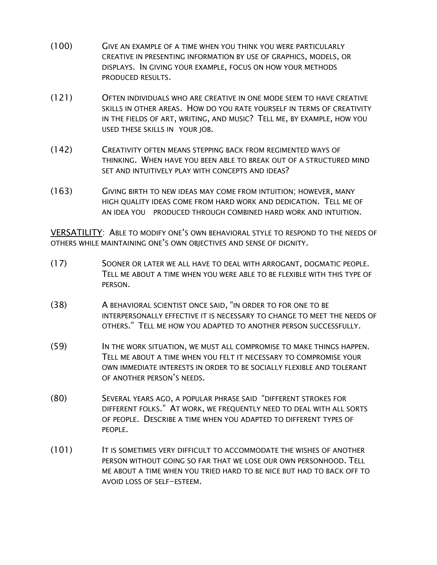- (100) GIVE AN EXAMPLE OF A TIME WHEN YOU THINK YOU WERE PARTICULARLY CREATIVE IN PRESENTING INFORMATION BY USE OF GRAPHICS, MODELS, OR DISPLAYS. IN GIVING YOUR EXAMPLE, FOCUS ON HOW YOUR METHODS PRODUCED RESULTS.
- (121) OFTEN INDIVIDUALS WHO ARE CREATIVE IN ONE MODE SEEM TO HAVE CREATIVE SKILLS IN OTHER AREAS. HOW DO YOU RATE YOURSELF IN TERMS OF CREATIVITY IN THE FIELDS OF ART, WRITING, AND MUSIC? TELL ME, BY EXAMPLE, HOW YOU USED THESE SKILLS IN YOUR JOB.
- (142) CREATIVITY OFTEN MEANS STEPPING BACK FROM REGIMENTED WAYS OF THINKING. WHEN HAVE YOU BEEN ABLE TO BREAK OUT OF A STRUCTURED MIND SET AND INTUITIVELY PLAY WITH CONCEPTS AND IDEAS?
- (163) GIVING BIRTH TO NEW IDEAS MAY COME FROM INTUITION; HOWEVER, MANY HIGH QUALITY IDEAS COME FROM HARD WORK AND DEDICATION. TELL ME OF AN IDEA YOU PRODUCED THROUGH COMBINED HARD WORK AND INTUITION.

VERSATILITY: ABLE TO MODIFY ONE'S OWN BEHAVIORAL STYLE TO RESPOND TO THE NEEDS OF OTHERS WHILE MAINTAINING ONE'S OWN OBJECTIVES AND SENSE OF DIGNITY.

- (17) SOONER OR LATER WE ALL HAVE TO DEAL WITH ARROGANT, DOGMATIC PEOPLE. TELL ME ABOUT A TIME WHEN YOU WERE ABLE TO BE FLEXIBLE WITH THIS TYPE OF PERSON.
- (38) A BEHAVIORAL SCIENTIST ONCE SAID, "IN ORDER TO FOR ONE TO BE INTERPERSONALLY EFFECTIVE IT IS NECESSARY TO CHANGE TO MEET THE NEEDS OF OTHERS." TELL ME HOW YOU ADAPTED TO ANOTHER PERSON SUCCESSFULLY.
- (59) IN THE WORK SITUATION, WE MUST ALL COMPROMISE TO MAKE THINGS HAPPEN. TELL ME ABOUT A TIME WHEN YOU FELT IT NECESSARY TO COMPROMISE YOUR OWN IMMEDIATE INTERESTS IN ORDER TO BE SOCIALLY FLEXIBLE AND TOLERANT OF ANOTHER PERSON'S NEEDS.
- (80) SEVERAL YEARS AGO, A POPULAR PHRASE SAID "DIFFERENT STROKES FOR DIFFERENT FOLKS." AT WORK, WE FREQUENTLY NEED TO DEAL WITH ALL SORTS OF PEOPLE. DESCRIBE A TIME WHEN YOU ADAPTED TO DIFFERENT TYPES OF PEOPLE.
- (101) IT IS SOMETIMES VERY DIFFICULT TO ACCOMMODATE THE WISHES OF ANOTHER PERSON WITHOUT GOING SO FAR THAT WE LOSE OUR OWN PERSONHOOD. TELL ME ABOUT A TIME WHEN YOU TRIED HARD TO BE NICE BUT HAD TO BACK OFF TO AVOID LOSS OF SELF-ESTEEM.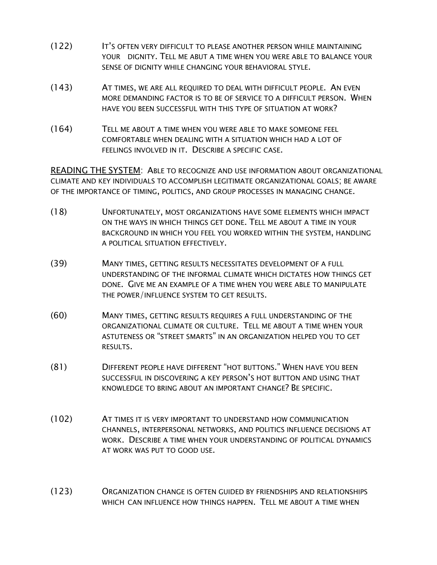- (122) IT'S OFTEN VERY DIFFICULT TO PLEASE ANOTHER PERSON WHILE MAINTAINING YOUR DIGNITY. TELL ME ABUT A TIME WHEN YOU WERE ABLE TO BALANCE YOUR SENSE OF DIGNITY WHILE CHANGING YOUR BEHAVIORAL STYLE.
- (143) AT TIMES, WE ARE ALL REQUIRED TO DEAL WITH DIFFICULT PEOPLE. AN EVEN MORE DEMANDING FACTOR IS TO BE OF SERVICE TO A DIFFICULT PERSON. WHEN HAVE YOU BEEN SUCCESSFUL WITH THIS TYPE OF SITUATION AT WORK?
- (164) TELL ME ABOUT A TIME WHEN YOU WERE ABLE TO MAKE SOMEONE FEEL COMFORTABLE WHEN DEALING WITH A SITUATION WHICH HAD A LOT OF FEELINGS INVOLVED IN IT. DESCRIBE A SPECIFIC CASE.

READING THE SYSTEM: ABLE TO RECOGNIZE AND USE INFORMATION ABOUT ORGANIZATIONAL CLIMATE AND KEY INDIVIDUALS TO ACCOMPLISH LEGITIMATE ORGANIZATIONAL GOALS; BE AWARE OF THE IMPORTANCE OF TIMING, POLITICS, AND GROUP PROCESSES IN MANAGING CHANGE.

- (18) UNFORTUNATELY, MOST ORGANIZATIONS HAVE SOME ELEMENTS WHICH IMPACT ON THE WAYS IN WHICH THINGS GET DONE. TELL ME ABOUT A TIME IN YOUR BACKGROUND IN WHICH YOU FEEL YOU WORKED WITHIN THE SYSTEM, HANDLING A POLITICAL SITUATION EFFECTIVELY.
- (39) MANY TIMES, GETTING RESULTS NECESSITATES DEVELOPMENT OF A FULL UNDERSTANDING OF THE INFORMAL CLIMATE WHICH DICTATES HOW THINGS GET DONE. GIVE ME AN EXAMPLE OF A TIME WHEN YOU WERE ABLE TO MANIPULATE THE POWER/INFLUENCE SYSTEM TO GET RESULTS.
- (60) MANY TIMES, GETTING RESULTS REQUIRES A FULL UNDERSTANDING OF THE ORGANIZATIONAL CLIMATE OR CULTURE. TELL ME ABOUT A TIME WHEN YOUR ASTUTENESS OR "STREET SMARTS" IN AN ORGANIZATION HELPED YOU TO GET RESULTS.
- (81) DIFFERENT PEOPLE HAVE DIFFERENT "HOT BUTTONS." WHEN HAVE YOU BEEN SUCCESSFUL IN DISCOVERING A KEY PERSON'S HOT BUTTON AND USING THAT KNOWLEDGE TO BRING ABOUT AN IMPORTANT CHANGE? BE SPECIFIC.
- (102) AT TIMES IT IS VERY IMPORTANT TO UNDERSTAND HOW COMMUNICATION CHANNELS, INTERPERSONAL NETWORKS, AND POLITICS INFLUENCE DECISIONS AT WORK. DESCRIBE A TIME WHEN YOUR UNDERSTANDING OF POLITICAL DYNAMICS AT WORK WAS PUT TO GOOD USE.
- (123) ORGANIZATION CHANGE IS OFTEN GUIDED BY FRIENDSHIPS AND RELATIONSHIPS WHICH CAN INFLUENCE HOW THINGS HAPPEN. TELL ME ABOUT A TIME WHEN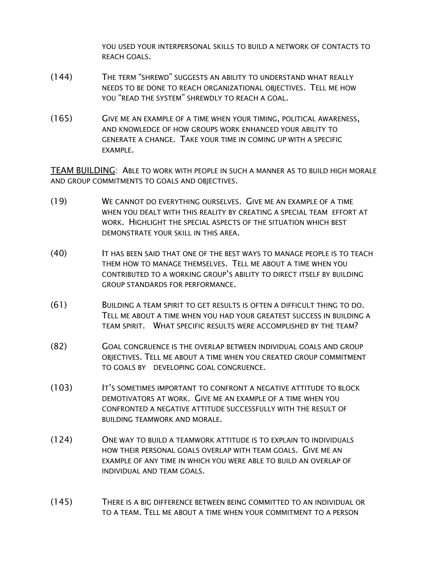YOU USED YOUR INTERPERSONAL SKILLS TO BUILD A NETWORK OF CONTACTS TO REACH GOALS.

- (144) THE TERM "SHREWD" SUGGESTS AN ABILITY TO UNDERSTAND WHAT REALLY NEEDS TO BE DONE TO REACH ORGANIZATIONAL OBJECTIVES. TELL ME HOW YOU "READ THE SYSTEM" SHREWDLY TO REACH A GOAL.
- (165) GIVE ME AN EXAMPLE OF A TIME WHEN YOUR TIMING, POLITICAL AWARENESS, AND KNOWLEDGE OF HOW GROUPS WORK ENHANCED YOUR ABILITY TO GENERATE A CHANGE. TAKE YOUR TIME IN COMING UP WITH A SPECIFIC EXAMPLE.

TEAM BUILDING: ABLE TO WORK WITH PEOPLE IN SUCH A MANNER AS TO BUILD HIGH MORALE AND GROUP COMMITMENTS TO GOALS AND OBJECTIVES.

- (19) WE CANNOT DO EVERYTHING OURSELVES. GIVE ME AN EXAMPLE OF A TIME WHEN YOU DEALT WITH THIS REALITY BY CREATING A SPECIAL TEAM EFFORT AT WORK. HIGHLIGHT THE SPECIAL ASPECTS OF THE SITUATION WHICH BEST DEMONSTRATE YOUR SKILL IN THIS AREA.
- (40) IT HAS BEEN SAID THAT ONE OF THE BEST WAYS TO MANAGE PEOPLE IS TO TEACH THEM HOW TO MANAGE THEMSELVES. TELL ME ABOUT A TIME WHEN YOU CONTRIBUTED TO A WORKING GROUP'S ABILITY TO DIRECT ITSELF BY BUILDING GROUP STANDARDS FOR PERFORMANCE.
- (61) BUILDING A TEAM SPIRIT TO GET RESULTS IS OFTEN A DIFFICULT THING TO DO. TELL ME ABOUT A TIME WHEN YOU HAD YOUR GREATEST SUCCESS IN BUILDING A TEAM SPIRIT. WHAT SPECIFIC RESULTS WERE ACCOMPLISHED BY THE TEAM?
- (82) GOAL CONGRUENCE IS THE OVERLAP BETWEEN INDIVIDUAL GOALS AND GROUP OBJECTIVES. TELL ME ABOUT A TIME WHEN YOU CREATED GROUP COMMITMENT TO GOALS BY DEVELOPING GOAL CONGRUENCE.
- (103) IT'S SOMETIMES IMPORTANT TO CONFRONT A NEGATIVE ATTITUDE TO BLOCK DEMOTIVATORS AT WORK. GIVE ME AN EXAMPLE OF A TIME WHEN YOU CONFRONTED A NEGATIVE ATTITUDE SUCCESSFULLY WITH THE RESULT OF BUILDING TEAMWORK AND MORALE.
- (124) ONE WAY TO BUILD A TEAMWORK ATTITUDE IS TO EXPLAIN TO INDIVIDUALS HOW THEIR PERSONAL GOALS OVERLAP WITH TEAM GOALS. GIVE ME AN EXAMPLE OF ANY TIME IN WHICH YOU WERE ABLE TO BUILD AN OVERLAP OF INDIVIDUAL AND TEAM GOALS.
- (145) THERE IS A BIG DIFFERENCE BETWEEN BEING COMMITTED TO AN INDIVIDUAL OR TO A TEAM. TELL ME ABOUT A TIME WHEN YOUR COMMITMENT TO A PERSON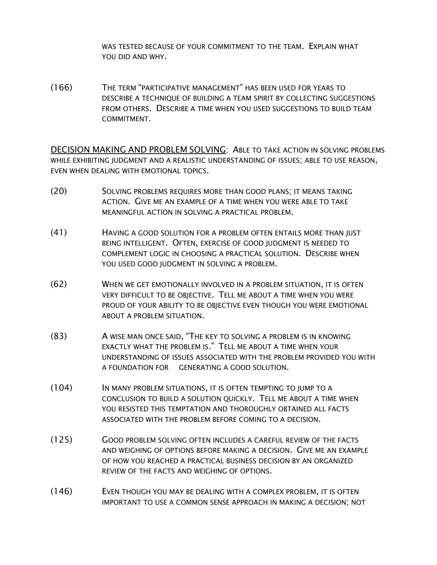WAS TESTED BECAUSE OF YOUR COMMITMENT TO THE TEAM. EXPLAIN WHAT YOU DID AND WHY.

(166) THE TERM "PARTICIPATIVE MANAGEMENT" HAS BEEN USED FOR YEARS TO DESCRIBE A TECHNIQUE OF BUILDING A TEAM SPIRIT BY COLLECTING SUGGESTIONS FROM OTHERS. DESCRIBE A TIME WHEN YOU USED SUGGESTIONS TO BUILD TEAM COMMITMENT.

DECISION MAKING AND PROBLEM SOLVING: ABLE TO TAKE ACTION IN SOLVING PROBLEMS WHILE EXHIBITING JUDGMENT AND A REALISTIC UNDERSTANDING OF ISSUES; ABLE TO USE REASON, EVEN WHEN DEALING WITH EMOTIONAL TOPICS.

- (20) SOLVING PROBLEMS REQUIRES MORE THAN GOOD PLANS; IT MEANS TAKING ACTION. GIVE ME AN EXAMPLE OF A TIME WHEN YOU WERE ABLE TO TAKE MEANINGFUL ACTION IN SOLVING A PRACTICAL PROBLEM.
- (41) HAVING A GOOD SOLUTION FOR A PROBLEM OFTEN ENTAILS MORE THAN JUST BEING INTELLIGENT. OFTEN, EXERCISE OF GOOD JUDGMENT IS NEEDED TO COMPLEMENT LOGIC IN CHOOSING A PRACTICAL SOLUTION. DESCRIBE WHEN YOU USED GOOD JUDGMENT IN SOLVING A PROBLEM.
- (62) WHEN WE GET EMOTIONALLY INVOLVED IN A PROBLEM SITUATION, IT IS OFTEN VERY DIFFICULT TO BE OBJECTIVE. TELL ME ABOUT A TIME WHEN YOU WERE PROUD OF YOUR ABILITY TO BE OBJECTIVE EVEN THOUGH YOU WERE EMOTIONAL ABOUT A PROBLEM SITUATION.
- (83) A WISE MAN ONCE SAID, "THE KEY TO SOLVING A PROBLEM IS IN KNOWING EXACTLY WHAT THE PROBLEM IS." TELL ME ABOUT A TIME WHEN YOUR UNDERSTANDING OF ISSUES ASSOCIATED WITH THE PROBLEM PROVIDED YOU WITH A FOUNDATION FOR GENERATING A GOOD SOLUTION.
- (104) IN MANY PROBLEM SITUATIONS, IT IS OFTEN TEMPTING TO JUMP TO A CONCLUSION TO BUILD A SOLUTION QUICKLY. TELL ME ABOUT A TIME WHEN YOU RESISTED THIS TEMPTATION AND THOROUGHLY OBTAINED ALL FACTS ASSOCIATED WITH THE PROBLEM BEFORE COMING TO A DECISION.
- (125) GOOD PROBLEM SOLVING OFTEN INCLUDES A CAREFUL REVIEW OF THE FACTS AND WEIGHING OF OPTIONS BEFORE MAKING A DECISION. GIVE ME AN EXAMPLE OF HOW YOU REACHED A PRACTICAL BUSINESS DECISION BY AN ORGANIZED REVIEW OF THE FACTS AND WEIGHING OF OPTIONS.
- (146) EVEN THOUGH YOU MAY BE DEALING WITH A COMPLEX PROBLEM, IT IS OFTEN IMPORTANT TO USE A COMMON SENSE APPROACH IN MAKING A DECISION; NOT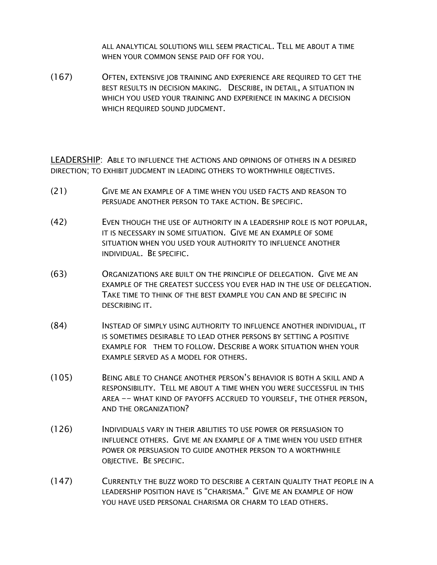ALL ANALYTICAL SOLUTIONS WILL SEEM PRACTICAL. TELL ME ABOUT A TIME WHEN YOUR COMMON SENSE PAID OFF FOR YOU.

(167) OFTEN, EXTENSIVE JOB TRAINING AND EXPERIENCE ARE REQUIRED TO GET THE BEST RESULTS IN DECISION MAKING. DESCRIBE, IN DETAIL, A SITUATION IN WHICH YOU USED YOUR TRAINING AND EXPERIENCE IN MAKING A DECISION WHICH REQUIRED SOUND JUDGMENT.

LEADERSHIP: ABLE TO INFLUENCE THE ACTIONS AND OPINIONS OF OTHERS IN A DESIRED DIRECTION; TO EXHIBIT JUDGMENT IN LEADING OTHERS TO WORTHWHILE OBJECTIVES.

- (21) GIVE ME AN EXAMPLE OF A TIME WHEN YOU USED FACTS AND REASON TO PERSUADE ANOTHER PERSON TO TAKE ACTION. BE SPECIFIC.
- (42) EVEN THOUGH THE USE OF AUTHORITY IN A LEADERSHIP ROLE IS NOT POPULAR, IT IS NECESSARY IN SOME SITUATION. GIVE ME AN EXAMPLE OF SOME SITUATION WHEN YOU USED YOUR AUTHORITY TO INFLUENCE ANOTHER INDIVIDUAL. BE SPECIFIC.
- (63) ORGANIZATIONS ARE BUILT ON THE PRINCIPLE OF DELEGATION. GIVE ME AN EXAMPLE OF THE GREATEST SUCCESS YOU EVER HAD IN THE USE OF DELEGATION. TAKE TIME TO THINK OF THE BEST EXAMPLE YOU CAN AND BE SPECIFIC IN DESCRIBING IT.
- (84) INSTEAD OF SIMPLY USING AUTHORITY TO INFLUENCE ANOTHER INDIVIDUAL, IT IS SOMETIMES DESIRABLE TO LEAD OTHER PERSONS BY SETTING A POSITIVE EXAMPLE FOR THEM TO FOLLOW. DESCRIBE A WORK SITUATION WHEN YOUR EXAMPLE SERVED AS A MODEL FOR OTHERS.
- (105) BEING ABLE TO CHANGE ANOTHER PERSON'S BEHAVIOR IS BOTH A SKILL AND A RESPONSIBILITY. TELL ME ABOUT A TIME WHEN YOU WERE SUCCESSFUL IN THIS AREA -- WHAT KIND OF PAYOFFS ACCRUED TO YOURSELF, THE OTHER PERSON, AND THE ORGANIZATION?
- (126) INDIVIDUALS VARY IN THEIR ABILITIES TO USE POWER OR PERSUASION TO INFLUENCE OTHERS. GIVE ME AN EXAMPLE OF A TIME WHEN YOU USED EITHER POWER OR PERSUASION TO GUIDE ANOTHER PERSON TO A WORTHWHILE OBJECTIVE. BE SPECIFIC.
- (147) CURRENTLY THE BUZZ WORD TO DESCRIBE A CERTAIN QUALITY THAT PEOPLE IN A LEADERSHIP POSITION HAVE IS "CHARISMA." GIVE ME AN EXAMPLE OF HOW YOU HAVE USED PERSONAL CHARISMA OR CHARM TO LEAD OTHERS.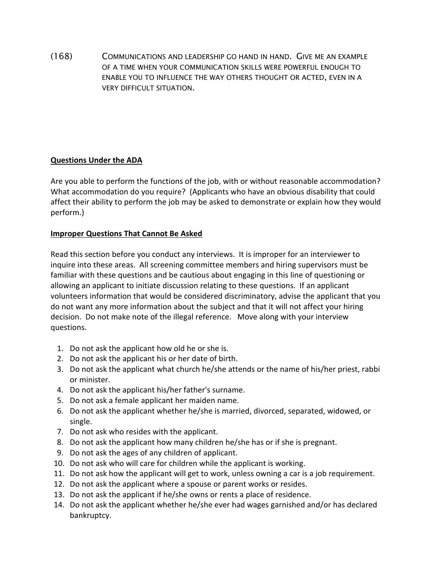(168) COMMUNICATIONS AND LEADERSHIP GO HAND IN HAND. GIVE ME AN EXAMPLE OF A TIME WHEN YOUR COMMUNICATION SKILLS WERE POWERFUL ENOUGH TO ENABLE YOU TO INFLUENCE THE WAY OTHERS THOUGHT OR ACTED, EVEN IN A VERY DIFFICULT SITUATION.

## **Questions Under the ADA**

Are you able to perform the functions of the job, with or without reasonable accommodation? What accommodation do you require? (Applicants who have an obvious disability that could affect their ability to perform the job may be asked to demonstrate or explain how they would perform.)

### **Improper Questions That Cannot Be Asked**

Read this section before you conduct any interviews. It is improper for an interviewer to inquire into these areas. All screening committee members and hiring supervisors must be familiar with these questions and be cautious about engaging in this line of questioning or allowing an applicant to initiate discussion relating to these questions. If an applicant volunteers information that would be considered discriminatory, advise the applicant that you do not want any more information about the subject and that it will not affect your hiring decision. Do not make note of the illegal reference. Move along with your interview questions.

- 1. Do not ask the applicant how old he or she is.
- 2. Do not ask the applicant his or her date of birth.
- 3. Do not ask the applicant what church he/she attends or the name of his/her priest, rabbi or minister.
- 4. Do not ask the applicant his/her father's surname.
- 5. Do not ask a female applicant her maiden name.
- 6. Do not ask the applicant whether he/she is married, divorced, separated, widowed, or single.
- 7. Do not ask who resides with the applicant.
- 8. Do not ask the applicant how many children he/she has or if she is pregnant.
- 9. Do not ask the ages of any children of applicant.
- 10. Do not ask who will care for children while the applicant is working.
- 11. Do not ask how the applicant will get to work, unless owning a car is a job requirement.
- 12. Do not ask the applicant where a spouse or parent works or resides.
- 13. Do not ask the applicant if he/she owns or rents a place of residence.
- 14. Do not ask the applicant whether he/she ever had wages garnished and/or has declared bankruptcy.